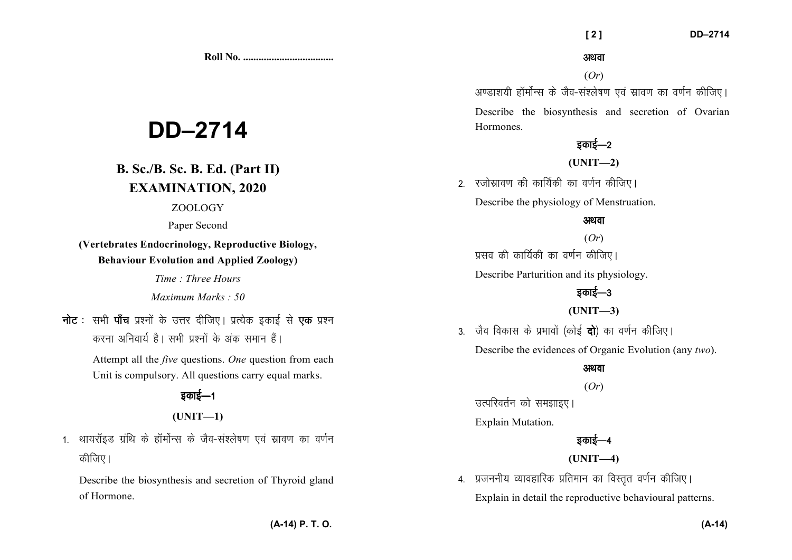**Roll No. ...................................** 

# **DD–2714**

## **B. Sc./B. Sc. B. Ed. (Part II) EXAMINATION, 2020**

ZOOLOGY

Paper Second

**(Vertebrates Endocrinology, Reproductive Biology, Behaviour Evolution and Applied Zoology)** 

*Time : Three Hours* 

*Maximum Marks : 50* 

**नोट** : सभी **पाँच** प्रश्नों के उत्तर दीजिए। प्रत्येक इकाई से **एक** प्रश्न करना अनिवार्य है। सभी प्रश्नों के अंक समान हैं।

> Attempt all the *five* questions. *One* question from each Unit is compulsory. All questions carry equal marks.

## डकाई—1

#### **(UNIT—1)**

1. थायरॉइड ग्रंथि के हॉर्मोन्स के जैव-संश्लेषण एवं स्रावण का वर्णन कीजिए।

Describe the biosynthesis and secretion of Thyroid gland of Hormone.

अथवा

(*Or*)

अण्डाशयी हॉर्मोन्स के जैव-संश्लेषण एवं स्नावण का वर्णन कीजिए। Describe the biosynthesis and secretion of Ovarian **Hormones** 

### डकाई—2

**(UNIT—2)** 

2. रजोस्रावण की कार्यिकी का वर्णन कीजिए। Describe the physiology of Menstruation.

#### अथवा

(*Or*) प्रसव की कार्यिकी का वर्णन कीजिए।

Describe Parturition and its physiology.

#### डकाई—3

**(UNIT—3)** 

3. जैव विकास के प्रभावों (कोई **दो**) का वर्णन कीजिए। Describe the evidences of Organic Evolution (any *two*).

#### अथवा

(*Or*)

उत्परिवर्तन को समझाइए।

Explain Mutation.

### इकाई—4

**(UNIT—4)** 

4. प्रजननीय व्यावहारिक प्रतिमान का विस्तुत वर्णन कीजिए। Explain in detail the reproductive behavioural patterns.

**(A-14) P. T. O.**